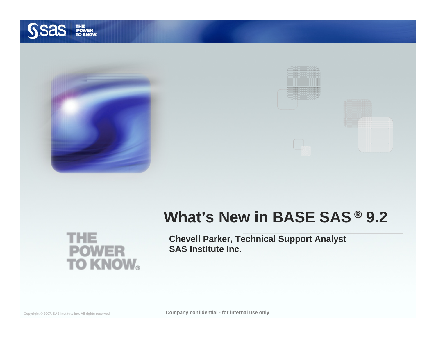





#### **What's New in BASE SAS ® 9.2**

**Chevell Parker, Technical Support Analyst SAS Institute Inc.**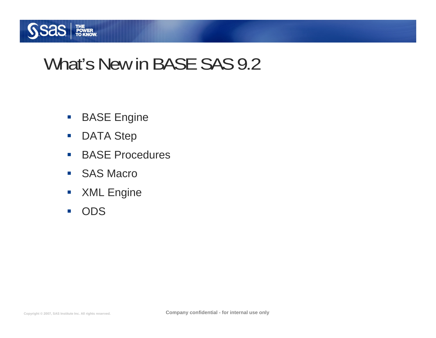

### What's New in BASE SAS 9.2

- $\mathcal{L}_{\mathcal{A}}$ BASE Engine
- $\mathbb{R}^n$ DATA Step
- $\mathcal{L}_{\mathcal{A}}$ **BASE Procedures**
- $\mathcal{L}_{\mathcal{A}}$ ■ SAS Macro
- $\mathcal{L}_{\mathcal{A}}$ XML Engine
- $\mathcal{L}_{\mathcal{A}}$ ODS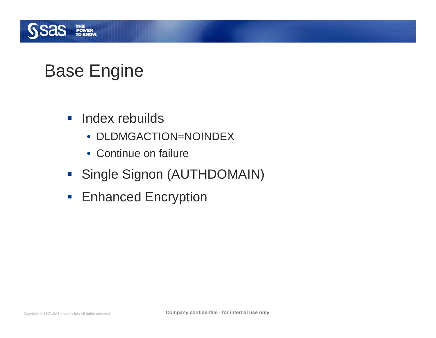

### Base Engine

- **Index rebuilds** 
	- DLDMGACTION=NOINDEX
	- Continue on failure
- **Single Signon (AUTHDOMAIN)**
- **Enhanced Encryption**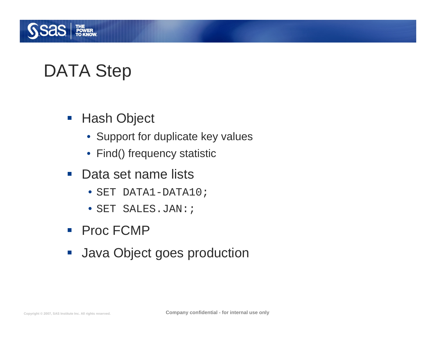

### DATA Step

- Hash Object
	- Support for duplicate key values
	- Find() frequency statistic
- Data set name lists
	- SET DATA1-DATA10;
	- $\bullet$  SET SALES.JAN:;
- Proc FCMP
- **Java Object goes production**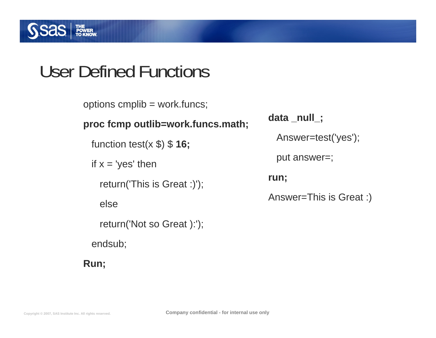

### User Defined Functions

```
options cmplib = work.funcs;
proc fcmp outlib=work.funcs.math;
 function test(x $) $ 16;
 if x = 'yes' then
   return('This is Great :)');
   elsereturn('Not so Great ):');
  endsub;
Run;
```

```
data _null_;
```
Answer=test('yes');

put answer=;

**run;**

Answer=This is Great :)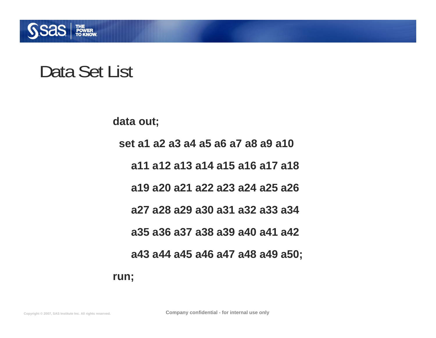

### Data Set List

**data out;**

**set a1 a2 a3 a4 a5 a6 a7 a8 a9 a10**

**a11 a12 a13 a14 a15 a16 a17 a18**

**a19 a20 a21 a22 a23 a24 a25 a26**

**a27 a28 a29 a30 a31 a32 a33 a34**

**a35 a36 a37 a38 a39 a40 a41 a42**

**a43 a44 a45 a46 a47 a48 a49 a50;**

**run;**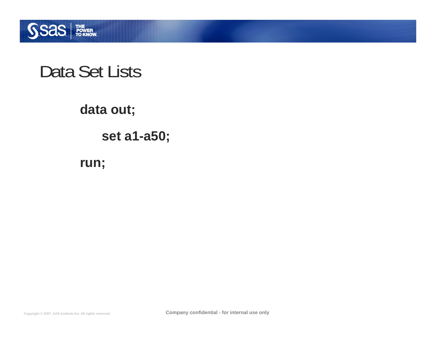

### Data Set Lists

**data out;**

**set a1-a50;**

**run;**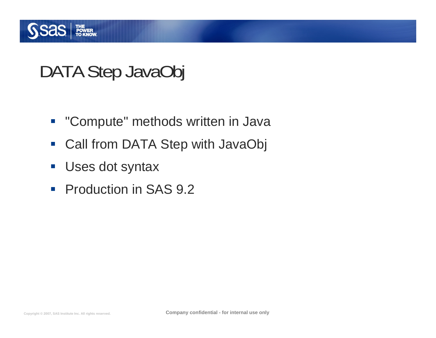

### DATA Step JavaObj

- $\mathcal{L}_{\mathcal{A}}$ "Compute" methods written in Java
- $\mathcal{L}_{\mathcal{A}}$ Call from DATA Step with JavaObj
- $\mathcal{L}_{\mathcal{A}}$ Uses dot syntax
- $\overline{\mathcal{L}}$ Production in SAS 9.2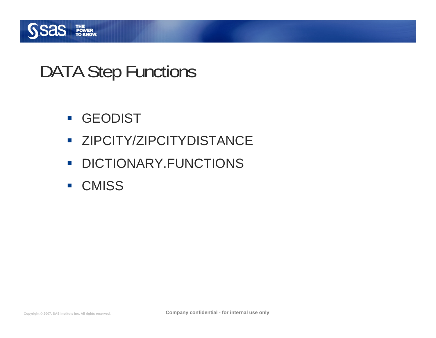

### DATA Step Functions

- $\overline{\mathbb{R}^n}$ GEODIST
- **EXTREMITY/ZIPCITYDISTANCE**
- $\mathbb{R}^3$ DICTIONARY.FUNCTIONS
- $\mathcal{L}_{\mathcal{A}}$ **CMISS**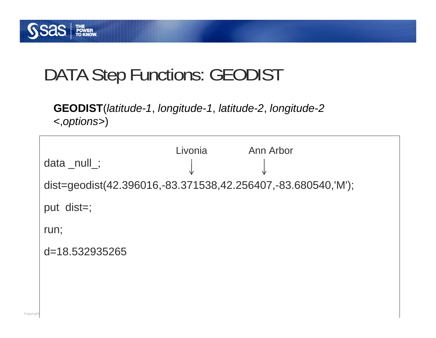

### DATA Step Functions: GEODIST

**GEODIST**(*latitude-1*, *longitude-1*, *latitude-2*, *longitude-2* <,*options*>)

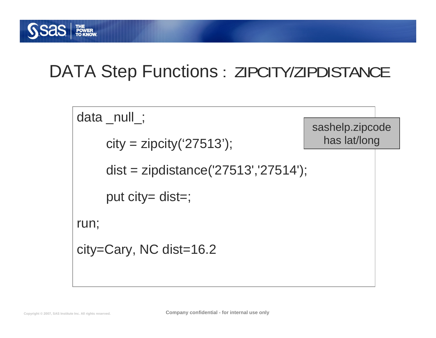

### DATA Step Functions : ZIPCITY/ZIPDISTANCE

```
data _null_; 
     city = zipcity('27513');dist = zipdistance('27513','27514');
     put city= dist=;
run;
city=Cary, NC dist=16.2 
                                            sashelp.zipcode
                                              has lat/long
```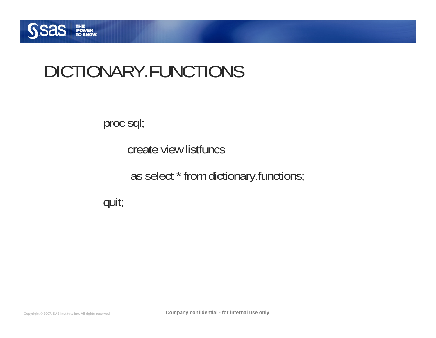

## DICTIONARY.FUNCTIONS

proc sql;

create view listfuncs

as select \* from dictionary.functions;

quit;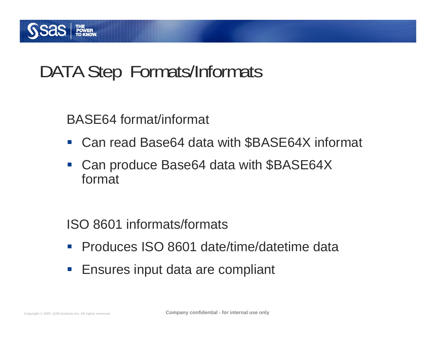

### DATA Step Formats/Informats

BASE64 format/informat

- $\mathcal{L}_{\text{max}}$ Can read Base64 data with \$BASE64X informat
- $\mathcal{L}_{\mathcal{A}}$  Can produce Base64 data with \$BASE64X format

ISO 8601 informats/formats

- Produces ISO 8601 date/time/datetime data
- $\mathcal{L}_{\mathcal{A}}$ Ensures input data are compliant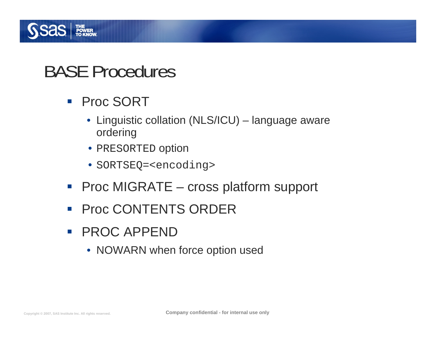

### BASE Procedures

- Proc SORT
	- Linguistic collation (NLS/ICU) language aware ordering
	- PRESORTED option
	- SORTSEQ=<encoding>
- Proc MIGRATE cross platform support
- $\mathcal{L}_{\mathcal{A}}$ Proc CONTENTS ORDER
- **PROC APPEND** 
	- NOWARN when force option used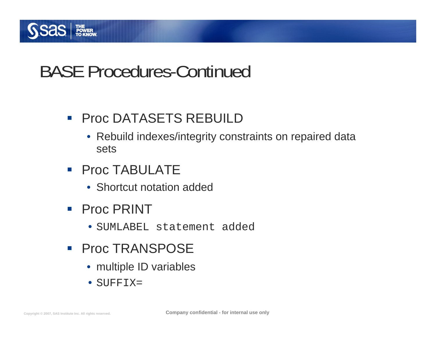

### BASE Procedures-Continued

- Proc DATASETS REBUILD
	- Rebuild indexes/integrity constraints on repaired data sets
- Proc TABULATE
	- Shortcut notation added
- Proc PRINT
	- SUMLABEL statement added
- Proc TRANSPOSE
	- multiple ID variables
	- SUFFIX=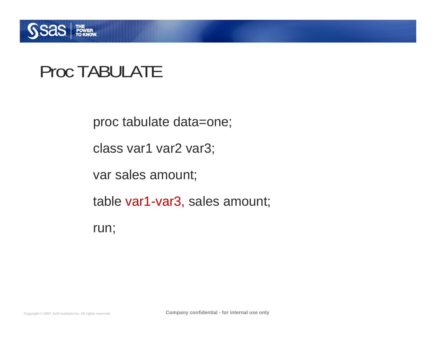

### Proc TABULATE

proc tabulate data=one;

class var1 var2 var3;

var sales amount;

table var1-var3, sales amount;

run;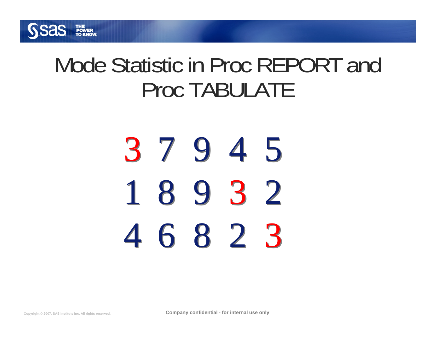

# Mode Statistic in Proc REPORT and Proc TABULATE

37945 3 7945 18932 189 3 2 46823 4682 3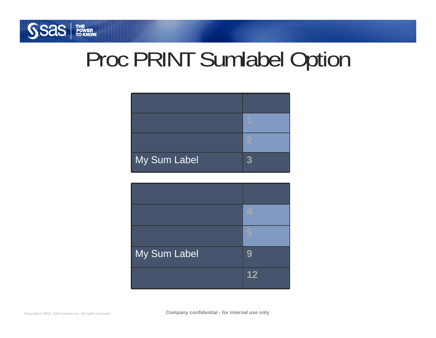

# Proc PRINT Sumlabel Option

| My Sum Label | 3 |
|--------------|---|
|              |   |
|              |   |
|              |   |

| My Sum Label | 9  |
|--------------|----|
|              | 12 |

**Copyright © 2007, SAS Institute Inc. All rights reserved. Company confidential - for internal use only**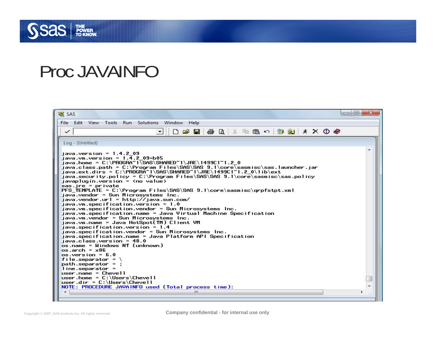

### Proc JAVAINFO

| <b>图 SAS</b>                                                                                                                            | $\Box$<br>$\mathbf{X}$ |  |  |  |  |  |
|-----------------------------------------------------------------------------------------------------------------------------------------|------------------------|--|--|--|--|--|
| Edit View Tools Run Solutions Window Help<br>File                                                                                       |                        |  |  |  |  |  |
| D 2 B B Q X ™ 8 8 D © X X ⊙ ♥<br>$\vert$<br>$\checkmark$                                                                                |                        |  |  |  |  |  |
|                                                                                                                                         |                        |  |  |  |  |  |
| Log - (Untitled)                                                                                                                        |                        |  |  |  |  |  |
| $java.version = 1.4.209$                                                                                                                |                        |  |  |  |  |  |
| $i$ ava.vm.version = $1.4.2$ 09-b05<br>$i$ ava.home = C:\PROGRA~1\SAS\SHARED~1\JRE\1499C1~1.2 0                                         |                        |  |  |  |  |  |
| java.class.path = C:\Program Files\SAS\SAS_9.1\core\sasmisc\sas.launcher.jar_                                                           |                        |  |  |  |  |  |
| java.ext.dirs = C:\PROGRA~1\SAS\SHARED~1\JRE\1499C1~1.2 0\lib\ext                                                                       |                        |  |  |  |  |  |
| java.security.policy = $C:\Per{ and Files\$ SAS\SAS 9.1\core\sasmisc\sas.policy<br>$i$ avaplugin.version = $\langle$ no value $\rangle$ |                        |  |  |  |  |  |
| $sas.$ $ire = private$                                                                                                                  |                        |  |  |  |  |  |
| PFS TEMPLATE = C:\Program Files\SAS\SAS 9.1\core\sasmisc\grpfstpt.xml<br>java.vendor = Sun Microsystems Inc.                            |                        |  |  |  |  |  |
| $java.event url = http://java.sun.com/$                                                                                                 |                        |  |  |  |  |  |
| $java.vm.specification.version = 1.0$                                                                                                   |                        |  |  |  |  |  |
| java.vm.specification.vendor = Sun Microsystems Inc.<br>java.vm.specification.name = Java Virtual Machine Specification                 |                        |  |  |  |  |  |
| $java.vm.vendor = Sun$ Microsystems $Inc.$                                                                                              |                        |  |  |  |  |  |
| java.vm.name = Java HotSpot(TM) Client VM                                                                                               |                        |  |  |  |  |  |
| $java.specification.version = 1.4$<br>java.specification.vendor = Sun Microsystems Inc.                                                 |                        |  |  |  |  |  |
| java.specification.name = Java Platform API Specification                                                                               |                        |  |  |  |  |  |
| $java.class.version = 48.0$                                                                                                             |                        |  |  |  |  |  |
| os.name = Windows NT (unknown)<br>$os.$ arch = $\times 86$                                                                              |                        |  |  |  |  |  |
| $os.version = 6.0$                                                                                                                      |                        |  |  |  |  |  |
| file.separator = $\langle$                                                                                                              |                        |  |  |  |  |  |
| $path.\nseparation =$<br>$line.$ separator =                                                                                            |                        |  |  |  |  |  |
| $user.name = Chevel1$                                                                                                                   |                        |  |  |  |  |  |
| user.home = $C:\Users\Cheve11$                                                                                                          |                        |  |  |  |  |  |
| user.dir = $C:\lvert U \rvert$ .<br>NOTE: PROCEDURE JAVAINFO used (Total process time):                                                 |                        |  |  |  |  |  |
| $\blacktriangleleft$<br>m.                                                                                                              | ÷.                     |  |  |  |  |  |
|                                                                                                                                         |                        |  |  |  |  |  |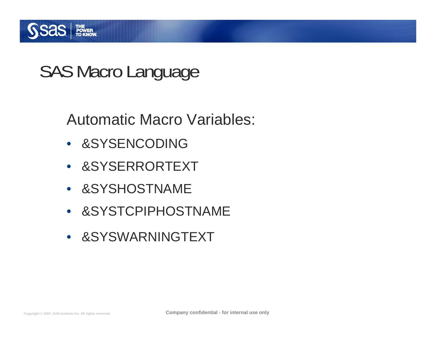

### SAS Macro Language

### Automatic Macro Variables:

- &SYSENCODING
- &SYSERRORTEXT
- &SYSHOSTNAME
- &SYSTCPIPHOSTNAME
- &SYSWARNINGTEXT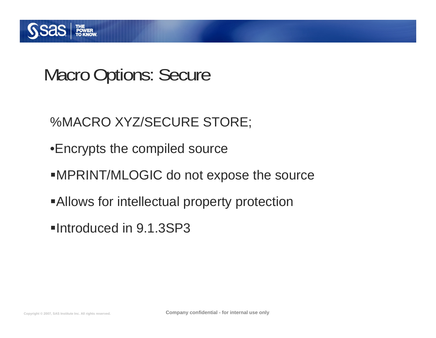

### Macro Options: Secure

#### %MACRO XYZ/SECURE STORE;

- •Encrypts the compiled source
- MPRINT/MLOGIC do not expose the source
- Allows for intellectual property protection
- Introduced in 9.1.3SP3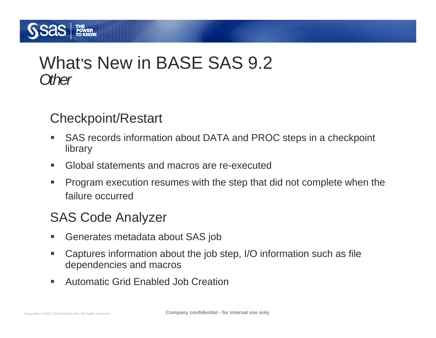

#### Checkpoint/Restart

- $\mathcal{L}_{\mathcal{A}}$  SAS records information about DATA and PROC steps in a checkpoint library
- $\mathcal{L}_{\mathcal{A}}$ Global statements and macros are re-executed
- П Program execution resumes with the step that did not complete when the failure occurred

#### SAS Code Analyzer

- $\mathcal{L}_{\mathcal{A}}$ Generates metadata about SAS job
- П Captures information about the job step, I/O information such as file dependencies and macros
- $\mathcal{L}_{\mathcal{A}}$ Automatic Grid Enabled Job Creation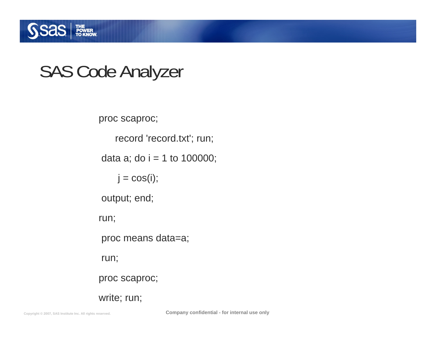

### SAS Code Analyzer

proc scaproc; record 'record.txt'; run; data a; do  $i = 1$  to 100000;  $j = cos(i);$ output; end; run; proc means data=a; run; proc scaproc;

write; run;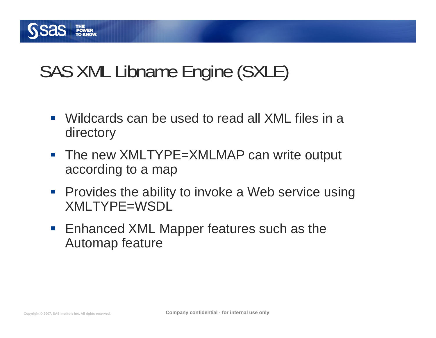

### SAS XML Libname Engine (SXLE)

- Wildcards can be used to read all XML files in a directory
- The new XMLTYPE=XMLMAP can write output according to a map
- **Provides the ability to invoke a Web service using** XMLTYPE=WSDL
- $\mathbb{R}^n$  Enhanced XML Mapper features such as the Automap feature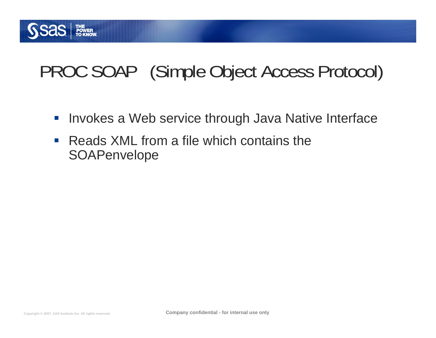

### PROC SOAP (Simple Object Access Protocol)

- $\overline{\mathbb{R}^2}$ Invokes a Web service through Java Native Interface
- $\mathcal{L}_{\mathcal{A}}$  Reads XML from a file which contains the **SOAPenvelope**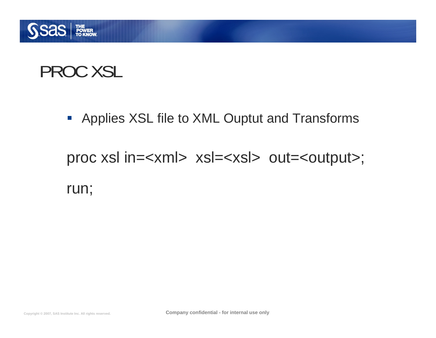

### PROC XSL

**Applies XSL file to XML Ouptut and Transforms** 

proc xsl in=<xml> xsl=<xsl> out=<output>; run;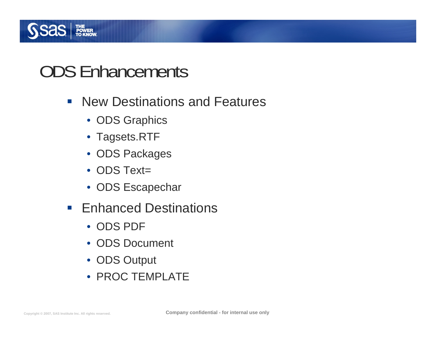

### ODS Enhancements

- **New Destinations and Features** 
	- ODS Graphics
	- Tagsets.RTF
	- ODS Packages
	- ODS Text=
	- ODS Escapechar
- **Enhanced Destinations** 
	- ODS PDF
	- ODS Document
	- ODS Output
	- PROC TEMPLATE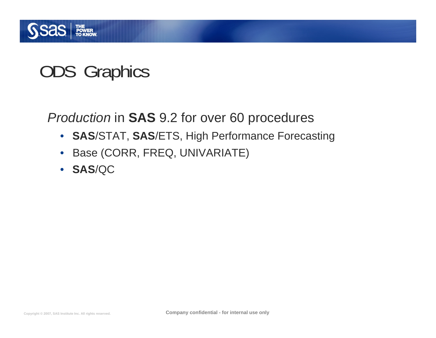

### ODS Graphics

*Production* in **SAS** 9.2 for over 60 procedures

- **SAS**/STAT, **SAS**/ETS, High Performance Forecasting
- $\bullet$ Base (CORR, FREQ, UNIVARIATE)
- **SAS**/QC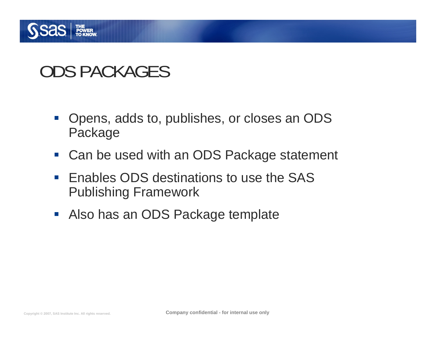

### ODS PACKAGES

- $\mathcal{L}_{\mathcal{A}}$  Opens, adds to, publishes, or closes an ODS Package
- Can be used with an ODS Package statement
- $\mathcal{L}_{\mathcal{A}}$  Enables ODS destinations to use the SAS Publishing Framework
- **Also has an ODS Package template**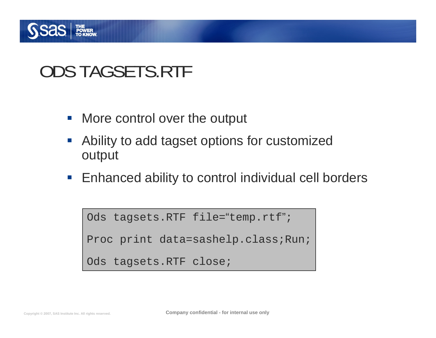

### ODS TAGSETS.RTF

- **More control over the output**
- $\mathcal{L}_{\mathcal{A}}$  Ability to add tagset options for customized output
- **Enhanced ability to control individual cell borders**

```
Ods tagsets.RTF file="temp.rtf";
Proc print data=sashelp.class;Run;
Ods tagsets.RTF close;
```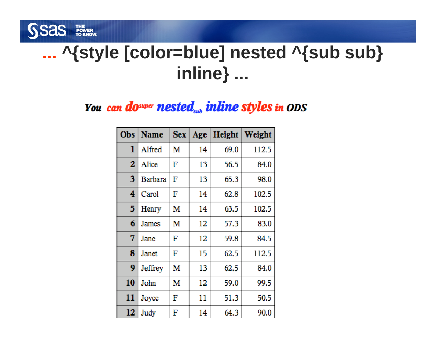

#### You can **do** super **nested**<sub>sub</sub> **inline styles** in ODS

**SSAS** FOWER

| Obs | <b>Name</b>    | <b>Sex</b> | Age | Height | Weight |
|-----|----------------|------------|-----|--------|--------|
| 1   | Alfred         | M          | 14  | 69.0   | 112.5  |
| 2   | <b>Alice</b>   | F          | 13  | 56.5   | 84.0   |
| 3   | <b>Barbara</b> | F          | 13  | 65.3   | 98.0   |
| 4   | Carol          | F          | 14  | 62.8   | 102.5  |
| 5   | Henry          | М          | 14  | 63.5   | 102.5  |
| 6   | <b>James</b>   | M          | 12  | 57.3   | 83.0   |
| 7   | Jane           | F          | 12  | 59.8   | 84.5   |
| 8   | <b>Janet</b>   | F          | 15  | 62.5   | 112.5  |
| 9   | Jeffrey        | М          | 13  | 62.5   | 84.0   |
| 10  | John           | М          | 12  | 59.0   | 99.5   |
| 11  | Joyce          | F          | 11  | 51.3   | 50.5   |
| 12  | Judy           | F          | 14  | 64.3   | 90.0   |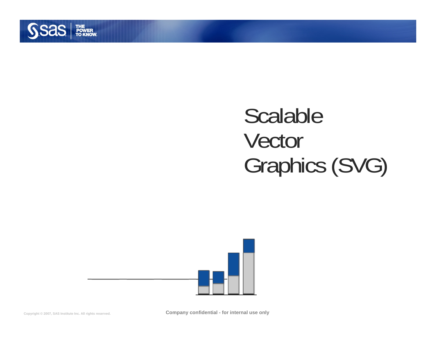

# Scalable Vector Graphics (SVG)



**Copyright © 2007, SAS Institute Inc. All rights reserved. Company confidential - for internal use only**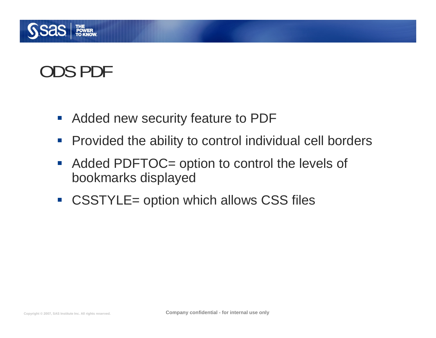

### ODS PDF

- $\mathcal{L}_{\mathcal{A}}$ Added new security feature to PDF
- **Provided the ability to control individual cell borders**
- $\overline{\mathbb{R}^2}$ Added PDFTOC= option to control the levels of bookmarks displayed
- CSSTYLE= option which allows CSS files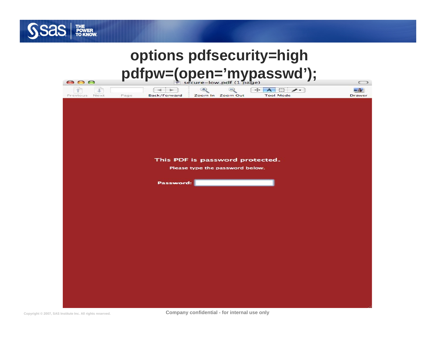

### **options pdfsecurity=high pdfpw=(open='mypasswd');**

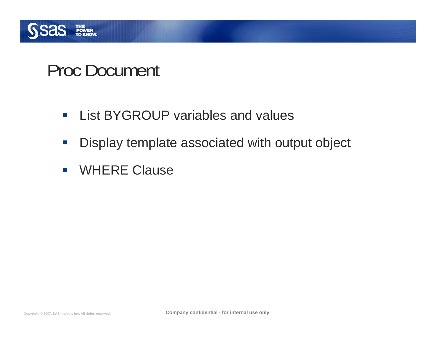

### Proc Document

- $\mathcal{L}_{\mathcal{A}}$ **List BYGROUP variables and values**
- $\mathcal{L}_{\text{eff}}$ Display template associated with output object
- $\mathcal{L}^{\mathcal{A}}$ WHERE Clause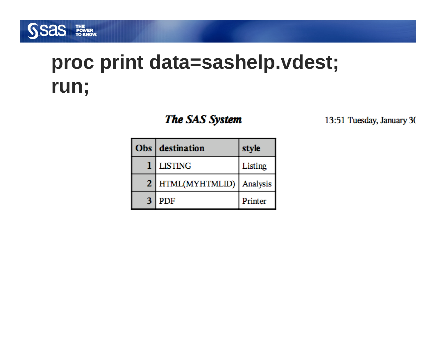### **proc print data=sashelp.vdest; run;**

**SSAS FOR AREA** 

The SAS System

13:51 Tuesday, January 30

| Obs/ | destination    | style    |
|------|----------------|----------|
|      | LISTING        | Listing  |
| 2    | HTML(MYHTMLID) | Analysis |
|      | <b>PDF</b>     | Printer  |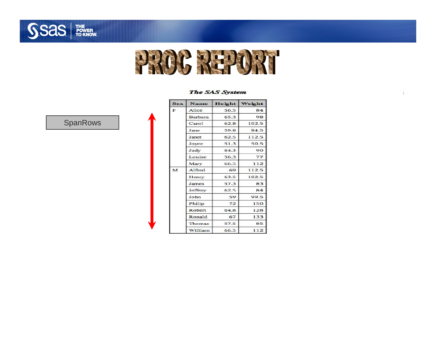



#### The SAS System

SpanRows

| <b>Sex</b>                                                                                                                                                                                                                                                                                                        | <b>Name</b>    | Weight |       |  |
|-------------------------------------------------------------------------------------------------------------------------------------------------------------------------------------------------------------------------------------------------------------------------------------------------------------------|----------------|--------|-------|--|
| F                                                                                                                                                                                                                                                                                                                 | Alice          | 56.5   | 84    |  |
|                                                                                                                                                                                                                                                                                                                   | <b>Barbara</b> | 65.3   | 98    |  |
| Height<br>62.8<br>Carol<br>59.8<br>Jane<br>62.5<br>Janet<br>51.3<br>Joyce<br>64.3<br>Judy<br>56.3<br>Louise<br>66.5<br>Mary<br>M<br>Alfred<br>69<br>63.5<br>Henry<br>57.3<br>James<br>62.5<br><b>Jeffrey</b><br>59<br>John<br>Philip<br>72<br>64.8<br>Robert<br>67<br>Ronald<br>57.5<br>Thomas<br>66.5<br>William |                | 102.5  |       |  |
|                                                                                                                                                                                                                                                                                                                   | 84.5           |        |       |  |
|                                                                                                                                                                                                                                                                                                                   |                |        | 112.5 |  |
|                                                                                                                                                                                                                                                                                                                   |                |        | 50.5  |  |
|                                                                                                                                                                                                                                                                                                                   |                |        | 90    |  |
|                                                                                                                                                                                                                                                                                                                   |                |        | 77    |  |
|                                                                                                                                                                                                                                                                                                                   |                |        | 112   |  |
|                                                                                                                                                                                                                                                                                                                   |                |        | 112.5 |  |
|                                                                                                                                                                                                                                                                                                                   |                |        | 102.5 |  |
|                                                                                                                                                                                                                                                                                                                   |                |        | 83    |  |
|                                                                                                                                                                                                                                                                                                                   |                |        | 84    |  |
|                                                                                                                                                                                                                                                                                                                   |                |        | 99.5  |  |
|                                                                                                                                                                                                                                                                                                                   |                |        | 150   |  |
|                                                                                                                                                                                                                                                                                                                   |                |        | 128   |  |
|                                                                                                                                                                                                                                                                                                                   |                |        | 133   |  |
|                                                                                                                                                                                                                                                                                                                   |                |        | 85    |  |
|                                                                                                                                                                                                                                                                                                                   |                |        | 112   |  |

ì.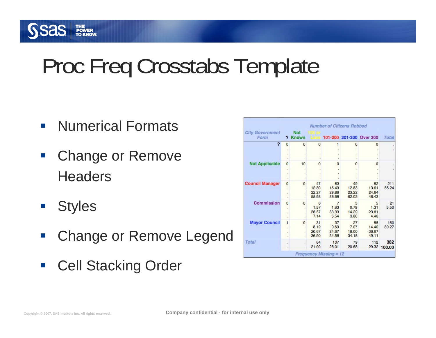# Proc Freq Crosstabs Template

- $\mathcal{L}_{\mathcal{A}}$ Numerical Formats
- $\mathcal{L}_{\mathcal{A}}$  Change or Remove **Headers**
- $\mathcal{L}_{\mathcal{A}}$ **Styles**

**SSAS** FOWER

- $\mathcal{C}^{\mathcal{A}}$ Change or Remove Legend
- $\mathcal{L}_{\mathcal{A}}$ Cell Stacking Order

|                          |                | <b>Number of Citizens Robbed</b> |                    |                          |                                              |  |
|--------------------------|----------------|----------------------------------|--------------------|--------------------------|----------------------------------------------|--|
| <b>Not</b><br>Known<br>? |                |                                  |                    | 101-200 201-300 Over 300 | Total                                        |  |
| $\overline{0}$<br>0      | 0              |                                  | 0                  | 0                        |                                              |  |
|                          |                |                                  |                    |                          |                                              |  |
|                          |                |                                  |                    |                          |                                              |  |
|                          |                |                                  |                    |                          |                                              |  |
| $\overline{0}$<br>10     | 0              | $\Omega$                         | $\Omega$           | 0                        |                                              |  |
|                          |                |                                  | a,                 |                          |                                              |  |
|                          |                |                                  |                    |                          |                                              |  |
|                          |                |                                  |                    |                          |                                              |  |
| $\mathbf{0}$<br>$\Omega$ | 47             | 63                               | 49                 | 52                       | 211                                          |  |
|                          | 12.30<br>22.27 | 16.49<br>29.86                   | 12.83<br>23.22     | 13.61<br>24.64           | 55.24                                        |  |
|                          | 55.95          | 58.88                            | 62.03              | 46.43                    |                                              |  |
|                          |                |                                  |                    |                          | 21                                           |  |
|                          |                |                                  |                    |                          | 5.50                                         |  |
|                          | 28.57          | 33.33                            | 14.29              | 23.81                    |                                              |  |
|                          | 7.14           | 6.54                             | 3.80               | 4.46                     |                                              |  |
| $\Omega$                 | 31             | 37                               | 27                 | 55                       | 150                                          |  |
|                          | 8.12           | 9.69                             | 7.07               | 14.40                    | 39.27                                        |  |
|                          | 20.67          | 24.67                            | 18.00              | 36.67                    |                                              |  |
|                          |                |                                  |                    |                          |                                              |  |
|                          | 84             | 107                              | 79                 | 112                      | 382                                          |  |
|                          | 21.99          | 28.01                            | 20.68              |                          | 29.32 100.00                                 |  |
| $\mathbf{0}$             | 0              | 6<br>1.57<br>36.90               | 7<br>1.83<br>34.58 | 3<br>0.79<br>34.18       | 5<br>1.31<br>49.11<br>Frequency Missing = 12 |  |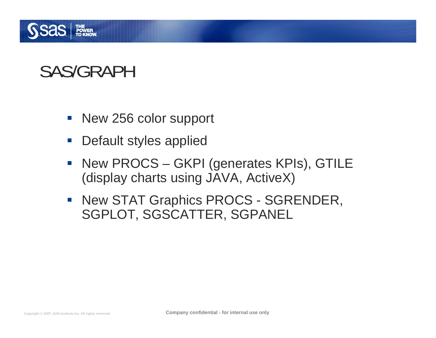

### SAS/GRAPH

- New 256 color support
- $\overline{\mathbb{R}^2}$ Default styles applied
- New PROCS GKPI (generates KPIs), GTILE (display charts using JAVA, ActiveX)
- New STAT Graphics PROCS SGRENDER, SGPLOT, SGSCATTER, SGPANEL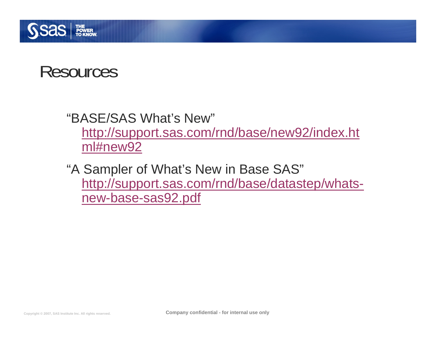

### Resources

#### "BASE/SAS What's New" http://support.sas.com/rnd/base/new92/index.ht ml#new92

"A Sampler of What's New in Base SAS" http://support.sas.com/rnd/base/datastep/whatsnew-base-sas92.pdf